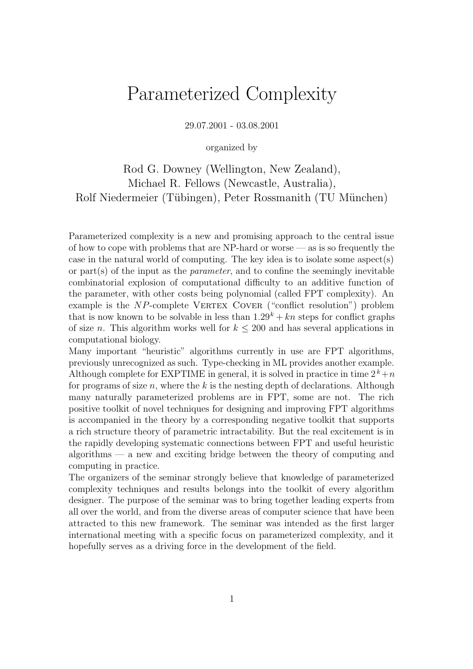# Parameterized Complexity

29.07.2001 - 03.08.2001

organized by

Rod G. Downey (Wellington, New Zealand), Michael R. Fellows (Newcastle, Australia), Rolf Niedermeier (Tübingen), Peter Rossmanith (TU München)

Parameterized complexity is a new and promising approach to the central issue of how to cope with problems that are NP-hard or worse — as is so frequently the case in the natural world of computing. The key idea is to isolate some aspect(s) or part(s) of the input as the *parameter*, and to confine the seemingly inevitable combinatorial explosion of computational difficulty to an additive function of the parameter, with other costs being polynomial (called FPT complexity). An example is the  $NP$ -complete VERTEX COVER ("conflict resolution") problem that is now known to be solvable in less than  $1.29^k + kn$  steps for conflict graphs of size n. This algorithm works well for  $k \leq 200$  and has several applications in computational biology.

Many important "heuristic" algorithms currently in use are FPT algorithms, previously unrecognized as such. Type-checking in ML provides another example. Although complete for EXPTIME in general, it is solved in practice in time  $2^k+n$ for programs of size  $n$ , where the k is the nesting depth of declarations. Although many naturally parameterized problems are in FPT, some are not. The rich positive toolkit of novel techniques for designing and improving FPT algorithms is accompanied in the theory by a corresponding negative toolkit that supports a rich structure theory of parametric intractability. But the real excitement is in the rapidly developing systematic connections between FPT and useful heuristic algorithms — a new and exciting bridge between the theory of computing and computing in practice.

The organizers of the seminar strongly believe that knowledge of parameterized complexity techniques and results belongs into the toolkit of every algorithm designer. The purpose of the seminar was to bring together leading experts from all over the world, and from the diverse areas of computer science that have been attracted to this new framework. The seminar was intended as the first larger international meeting with a specific focus on parameterized complexity, and it hopefully serves as a driving force in the development of the field.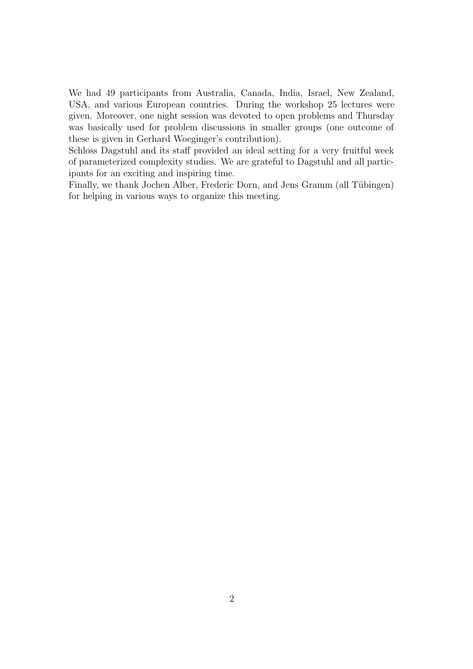We had 49 participants from Australia, Canada, India, Israel, New Zealand, USA, and various European countries. During the workshop 25 lectures were given. Moreover, one night session was devoted to open problems and Thursday was basically used for problem discussions in smaller groups (one outcome of these is given in Gerhard Woeginger's contribution).

Schloss Dagstuhl and its staff provided an ideal setting for a very fruitful week of parameterized complexity studies. We are grateful to Dagstuhl and all participants for an exciting and inspiring time.

Finally, we thank Jochen Alber, Frederic Dorn, and Jens Gramm (all Tübingen) for helping in various ways to organize this meeting.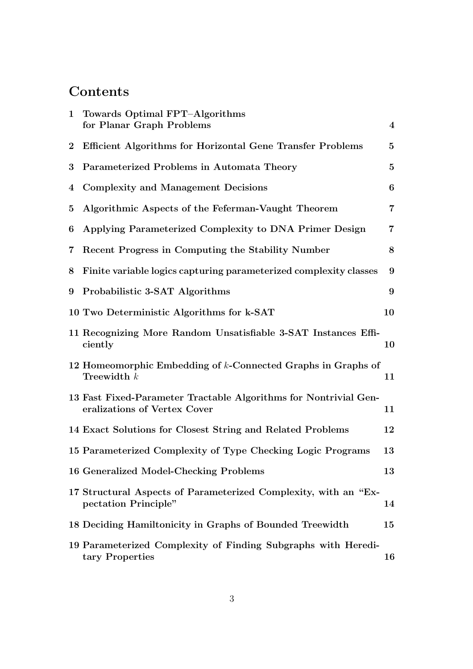# **Contents**

| $\mathbf{1}$   | Towards Optimal FPT-Algorithms<br>for Planar Graph Problems                                      | $\boldsymbol{4}$ |
|----------------|--------------------------------------------------------------------------------------------------|------------------|
| $\bf{2}$       | <b>Efficient Algorithms for Horizontal Gene Transfer Problems</b>                                | $\mathbf{5}$     |
| 3              | Parameterized Problems in Automata Theory                                                        | $\bf{5}$         |
| 4              | <b>Complexity and Management Decisions</b>                                                       | 6                |
| $\overline{5}$ | Algorithmic Aspects of the Feferman-Vaught Theorem                                               | $\overline{7}$   |
| 6              | Applying Parameterized Complexity to DNA Primer Design                                           | $\overline{7}$   |
| $7\phantom{.}$ | Recent Progress in Computing the Stability Number                                                | 8                |
| 8              | Finite variable logics capturing parameterized complexity classes                                | 9                |
| 9              | Probabilistic 3-SAT Algorithms                                                                   | 9                |
|                | 10 Two Deterministic Algorithms for k-SAT                                                        | 10               |
|                | 11 Recognizing More Random Unsatisfiable 3-SAT Instances Effi-<br>ciently                        | 10               |
|                | 12 Homeomorphic Embedding of k-Connected Graphs in Graphs of<br>Treewidth $k$                    | 11               |
|                | 13 Fast Fixed-Parameter Tractable Algorithms for Nontrivial Gen-<br>eralizations of Vertex Cover | 11               |
|                | 14 Exact Solutions for Closest String and Related Problems                                       | 12               |
|                | 15 Parameterized Complexity of Type Checking Logic Programs                                      | 13               |
|                | 16 Generalized Model-Checking Problems                                                           | 13               |
|                | 17 Structural Aspects of Parameterized Complexity, with an "Ex-<br>pectation Principle"          | 14               |
|                | 18 Deciding Hamiltonicity in Graphs of Bounded Treewidth                                         | 15               |
|                | 19 Parameterized Complexity of Finding Subgraphs with Heredi-<br>tary Properties                 | 16               |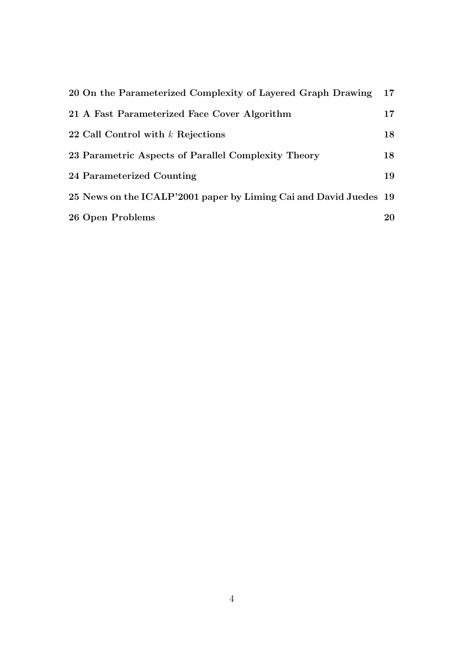| 20 On the Parameterized Complexity of Layered Graph Drawing       | 17 |
|-------------------------------------------------------------------|----|
| 21 A Fast Parameterized Face Cover Algorithm                      | 17 |
| 22 Call Control with $k$ Rejections                               | 18 |
| 23 Parametric Aspects of Parallel Complexity Theory               | 18 |
| 24 Parameterized Counting                                         | 19 |
| 25 News on the ICALP'2001 paper by Liming Cai and David Juedes 19 |    |
| 26 Open Problems                                                  | 20 |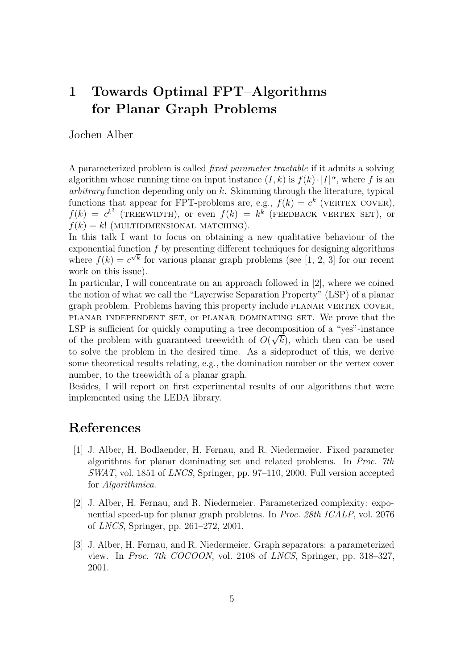## 1 Towards Optimal FPT–Algorithms for Planar Graph Problems

Jochen Alber

A parameterized problem is called fixed parameter tractable if it admits a solving algorithm whose running time on input instance  $(I, k)$  is  $f(k) \cdot |I|^{\alpha}$ , where f is an arbitrary function depending only on  $k$ . Skimming through the literature, typical functions that appear for FPT-problems are, e.g.,  $f(k) = c^k$  (VERTEX COVER),  $f(k) = c^{k^3}$  (TREEWIDTH), or even  $f(k) = k^k$  (FEEDBACK VERTEX SET), or  $f(k) = k!$  (MULTIDIMENSIONAL MATCHING).

In this talk I want to focus on obtaining a new qualitative behaviour of the exponential function  $f$  by presenting different techniques for designing algorithms where  $f(k) = c^{\sqrt{k}}$  for various planar graph problems (see [1, 2, 3] for our recent work on this issue).

In particular, I will concentrate on an approach followed in [2], where we coined the notion of what we call the "Layerwise Separation Property" (LSP) of a planar graph problem. Problems having this property include planar vertex cover, planar independent set, or planar dominating set. We prove that the LSP is sufficient for quickly computing a tree decomposition of a "yes"-instance of the problem with guaranteed treewidth of  $O(\sqrt{k})$ , which then can be used to solve the problem in the desired time. As a sideproduct of this, we derive some theoretical results relating, e.g., the domination number or the vertex cover number, to the treewidth of a planar graph.

Besides, I will report on first experimental results of our algorithms that were implemented using the LEDA library.

### References

- [1] J. Alber, H. Bodlaender, H. Fernau, and R. Niedermeier. Fixed parameter algorithms for planar dominating set and related problems. In Proc. 7th SWAT, vol. 1851 of LNCS, Springer, pp. 97–110, 2000. Full version accepted for Algorithmica.
- [2] J. Alber, H. Fernau, and R. Niedermeier. Parameterized complexity: exponential speed-up for planar graph problems. In Proc. 28th ICALP, vol. 2076 of LNCS, Springer, pp. 261–272, 2001.
- [3] J. Alber, H. Fernau, and R. Niedermeier. Graph separators: a parameterized view. In Proc. 7th COCOON, vol. 2108 of LNCS, Springer, pp. 318–327, 2001.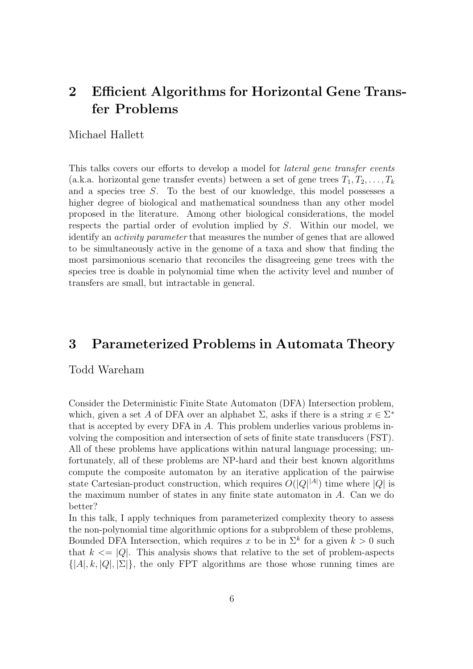## 2 Efficient Algorithms for Horizontal Gene Transfer Problems

### Michael Hallett

This talks covers our efforts to develop a model for *lateral gene transfer events* (a.k.a. horizontal gene transfer events) between a set of gene trees  $T_1, T_2, \ldots, T_k$ and a species tree S. To the best of our knowledge, this model possesses a higher degree of biological and mathematical soundness than any other model proposed in the literature. Among other biological considerations, the model respects the partial order of evolution implied by S. Within our model, we identify an activity parameter that measures the number of genes that are allowed to be simultaneously active in the genome of a taxa and show that finding the most parsimonious scenario that reconciles the disagreeing gene trees with the species tree is doable in polynomial time when the activity level and number of transfers are small, but intractable in general.

### 3 Parameterized Problems in Automata Theory

#### Todd Wareham

Consider the Deterministic Finite State Automaton (DFA) Intersection problem, which, given a set A of DFA over an alphabet  $\Sigma$ , asks if there is a string  $x \in \Sigma^*$ that is accepted by every DFA in A. This problem underlies various problems involving the composition and intersection of sets of finite state transducers (FST). All of these problems have applications within natural language processing; unfortunately, all of these problems are NP-hard and their best known algorithms compute the composite automaton by an iterative application of the pairwise state Cartesian-product construction, which requires  $O(|Q|^{|A|})$  time where |Q| is the maximum number of states in any finite state automaton in A. Can we do better?

In this talk, I apply techniques from parameterized complexity theory to assess the non-polynomial time algorithmic options for a subproblem of these problems, Bounded DFA Intersection, which requires x to be in  $\Sigma^k$  for a given  $k > 0$  such that  $k \leq |Q|$ . This analysis shows that relative to the set of problem-aspects  $\{|A|, k, |Q|, |\Sigma|\}$ , the only FPT algorithms are those whose running times are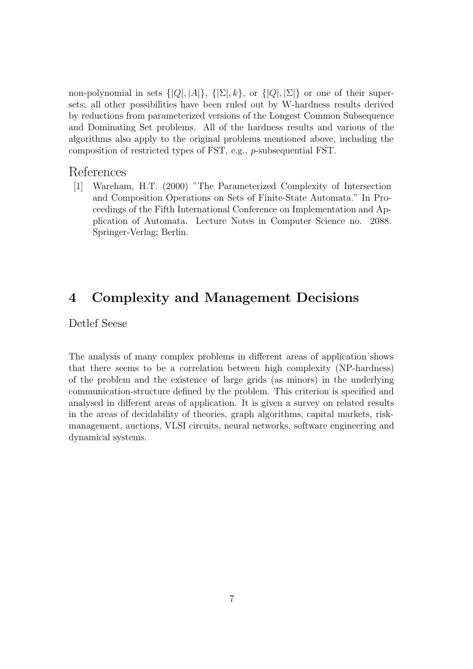non-polynomial in sets  $\{|Q|, |A|\}, \{|\Sigma|, k\}$ , or  $\{|Q|, |\Sigma|\}$  or one of their supersets; all other possibilities have been ruled out by W-hardness results derived by reductions from parameterized versions of the Longest Common Subsequence and Dominating Set problems. All of the hardness results and various of the algorithms also apply to the original problems mentioned above, including the composition of restricted types of FST, e.g., p-subsequential FST.

### References

[1] Wareham, H.T. (2000) "The Parameterized Complexity of Intersection and Composition Operations on Sets of Finite-State Automata." In Proceedings of the Fifth International Conference on Implementation and Application of Automata. Lecture Notes in Computer Science no. 2088. Springer-Verlag; Berlin.

### 4 Complexity and Management Decisions

Detlef Seese

The analysis of many complex problems in different areas of application shows that there seems to be a correlation between high complexity (NP-hardness) of the problem and the existence of large grids (as minors) in the underlying communication-structure defined by the problem. This criterion is specified and analysed in different areas of application. It is given a survey on related results in the areas of decidability of theories, graph algorithms, capital markets, riskmanagement, auctions, VLSI circuits, neural networks, software engineering and dynamical systems.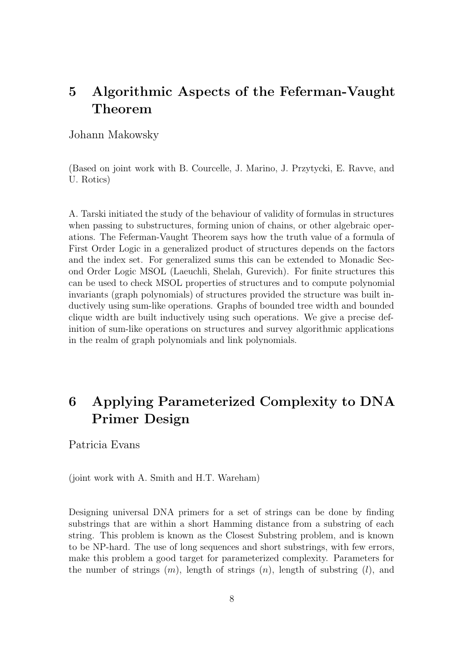## 5 Algorithmic Aspects of the Feferman-Vaught Theorem

Johann Makowsky

(Based on joint work with B. Courcelle, J. Marino, J. Przytycki, E. Ravve, and U. Rotics)

A. Tarski initiated the study of the behaviour of validity of formulas in structures when passing to substructures, forming union of chains, or other algebraic operations. The Feferman-Vaught Theorem says how the truth value of a formula of First Order Logic in a generalized product of structures depends on the factors and the index set. For generalized sums this can be extended to Monadic Second Order Logic MSOL (Laeuchli, Shelah, Gurevich). For finite structures this can be used to check MSOL properties of structures and to compute polynomial invariants (graph polynomials) of structures provided the structure was built inductively using sum-like operations. Graphs of bounded tree width and bounded clique width are built inductively using such operations. We give a precise definition of sum-like operations on structures and survey algorithmic applications in the realm of graph polynomials and link polynomials.

## 6 Applying Parameterized Complexity to DNA Primer Design

Patricia Evans

(joint work with A. Smith and H.T. Wareham)

Designing universal DNA primers for a set of strings can be done by finding substrings that are within a short Hamming distance from a substring of each string. This problem is known as the Closest Substring problem, and is known to be NP-hard. The use of long sequences and short substrings, with few errors, make this problem a good target for parameterized complexity. Parameters for the number of strings  $(m)$ , length of strings  $(n)$ , length of substring  $(l)$ , and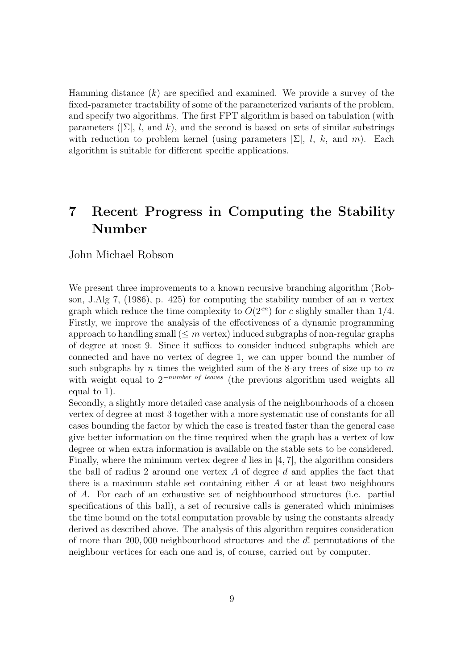Hamming distance  $(k)$  are specified and examined. We provide a survey of the fixed-parameter tractability of some of the parameterized variants of the problem, and specify two algorithms. The first FPT algorithm is based on tabulation (with parameters ( $[\Sigma]$ , l, and k), and the second is based on sets of similar substrings with reduction to problem kernel (using parameters  $|\Sigma|, l, k$ , and m). Each algorithm is suitable for different specific applications.

## 7 Recent Progress in Computing the Stability Number

#### John Michael Robson

We present three improvements to a known recursive branching algorithm (Robson, J.Alg 7, (1986), p. 425) for computing the stability number of an n vertex graph which reduce the time complexity to  $O(2^{cn})$  for c slighly smaller than 1/4. Firstly, we improve the analysis of the effectiveness of a dynamic programming approach to handling small  $(\leq m \text{ vertex})$  induced subgraphs of non-regular graphs of degree at most 9. Since it suffices to consider induced subgraphs which are connected and have no vertex of degree 1, we can upper bound the number of such subgraphs by  $n$  times the weighted sum of the 8-ary trees of size up to  $m$ with weight equal to  $2^{-number}$  of leaves (the previous algorithm used weights all equal to 1).

Secondly, a slightly more detailed case analysis of the neighbourhoods of a chosen vertex of degree at most 3 together with a more systematic use of constants for all cases bounding the factor by which the case is treated faster than the general case give better information on the time required when the graph has a vertex of low degree or when extra information is available on the stable sets to be considered. Finally, where the minimum vertex degree  $d$  lies in [4, 7], the algorithm considers the ball of radius 2 around one vertex  $A$  of degree  $d$  and applies the fact that there is a maximum stable set containing either  $A$  or at least two neighbours of A. For each of an exhaustive set of neighbourhood structures (i.e. partial specifications of this ball), a set of recursive calls is generated which minimises the time bound on the total computation provable by using the constants already derived as described above. The analysis of this algorithm requires consideration of more than 200, 000 neighbourhood structures and the d! permutations of the neighbour vertices for each one and is, of course, carried out by computer.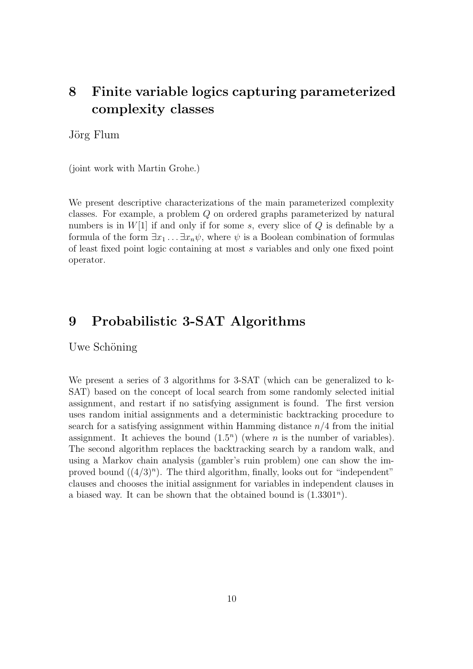## 8 Finite variable logics capturing parameterized complexity classes

Jörg Flum

(joint work with Martin Grohe.)

We present descriptive characterizations of the main parameterized complexity classes. For example, a problem Q on ordered graphs parameterized by natural numbers is in  $W[1]$  if and only if for some s, every slice of Q is definable by a formula of the form  $\exists x_1 \ldots \exists x_n \psi$ , where  $\psi$  is a Boolean combination of formulas of least fixed point logic containing at most s variables and only one fixed point operator.

### 9 Probabilistic 3-SAT Algorithms

Uwe Schöning

We present a series of 3 algorithms for 3-SAT (which can be generalized to k-SAT) based on the concept of local search from some randomly selected initial assignment, and restart if no satisfying assignment is found. The first version uses random initial assignments and a deterministic backtracking procedure to search for a satisfying assignment within Hamming distance  $n/4$  from the initial assignment. It achieves the bound  $(1.5<sup>n</sup>)$  (where *n* is the number of variables). The second algorithm replaces the backtracking search by a random walk, and using a Markov chain analysis (gambler's ruin problem) one can show the improved bound  $((4/3)^n)$ . The third algorithm, finally, looks out for "independent" clauses and chooses the initial assignment for variables in independent clauses in a biased way. It can be shown that the obtained bound is  $(1.3301<sup>n</sup>)$ .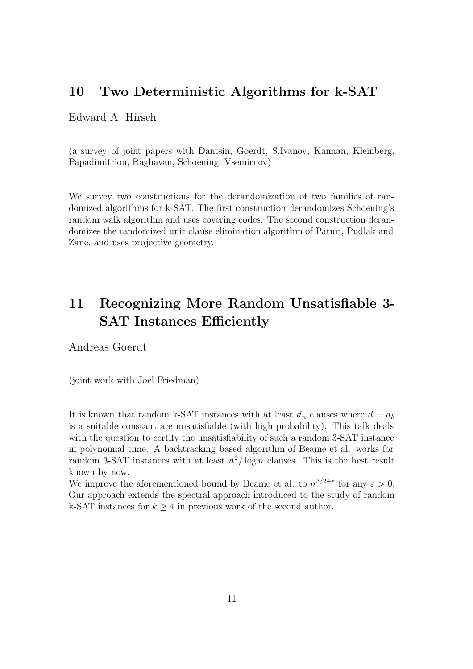### 10 Two Deterministic Algorithms for k-SAT

### Edward A. Hirsch

(a survey of joint papers with Dantsin, Goerdt, S.Ivanov, Kannan, Kleinberg, Papadimitriou, Raghavan, Schoening, Vsemirnov)

We survey two constructions for the derandomization of two families of randomized algorithms for k-SAT. The first construction derandomizes Schoening's random walk algorithm and uses covering codes. The second construction derandomizes the randomized unit clause elimination algorithm of Paturi, Pudlak and Zane, and uses projective geometry.

## 11 Recognizing More Random Unsatisfiable 3- SAT Instances Efficiently

Andreas Goerdt

(joint work with Joel Friedman)

It is known that random k-SAT instances with at least  $d_n$  clauses where  $d = d_k$ is a suitable constant are unsatisfiable (with high probability). This talk deals with the question to certify the unsatisfiability of such a random 3-SAT instance in polynomial time. A backtracking based algorithm of Beame et al. works for random 3-SAT instances with at least  $n^2/\log n$  clauses. This is the best result known by now.

We improve the aforementioned bound by Beame et al. to  $n^{3/2+\epsilon}$  for any  $\epsilon > 0$ . Our approach extends the spectral approach introduced to the study of random k-SAT instances for  $k \geq 4$  in previous work of the second author.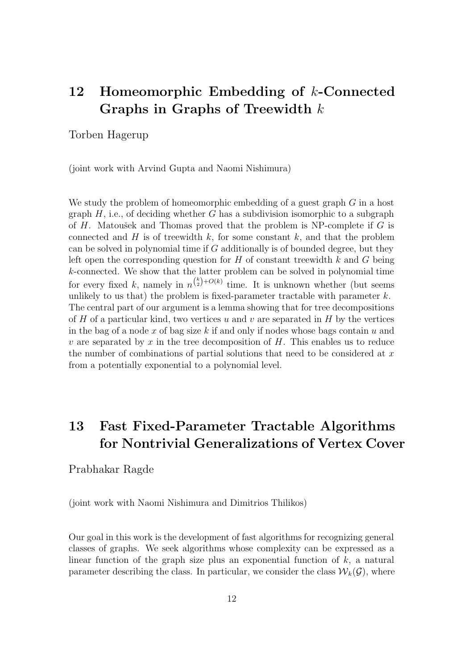## 12 Homeomorphic Embedding of k-Connected Graphs in Graphs of Treewidth  $k$

Torben Hagerup

(joint work with Arvind Gupta and Naomi Nishimura)

We study the problem of homeomorphic embedding of a guest graph G in a host graph  $H$ , i.e., of deciding whether G has a subdivision isomorphic to a subgraph of  $H$ . Matoušek and Thomas proved that the problem is NP-complete if  $G$  is connected and  $H$  is of treewidth  $k$ , for some constant  $k$ , and that the problem can be solved in polynomial time if  $G$  additionally is of bounded degree, but they left open the corresponding question for  $H$  of constant treewidth k and G being k-connected. We show that the latter problem can be solved in polynomial time for every fixed k, namely in  $n^{k}(-\infty)$  time. It is unknown whether (but seems unlikely to us that) the problem is fixed-parameter tractable with parameter  $k$ . The central part of our argument is a lemma showing that for tree decompositions of H of a particular kind, two vertices  $u$  and  $v$  are separated in H by the vertices in the bag of a node x of bag size k if and only if nodes whose bags contain  $u$  and v are separated by x in the tree decomposition of  $H$ . This enables us to reduce the number of combinations of partial solutions that need to be considered at  $x$ from a potentially exponential to a polynomial level.

## 13 Fast Fixed-Parameter Tractable Algorithms for Nontrivial Generalizations of Vertex Cover

#### Prabhakar Ragde

(joint work with Naomi Nishimura and Dimitrios Thilikos)

Our goal in this work is the development of fast algorithms for recognizing general classes of graphs. We seek algorithms whose complexity can be expressed as a linear function of the graph size plus an exponential function of  $k$ , a natural parameter describing the class. In particular, we consider the class  $\mathcal{W}_k(\mathcal{G})$ , where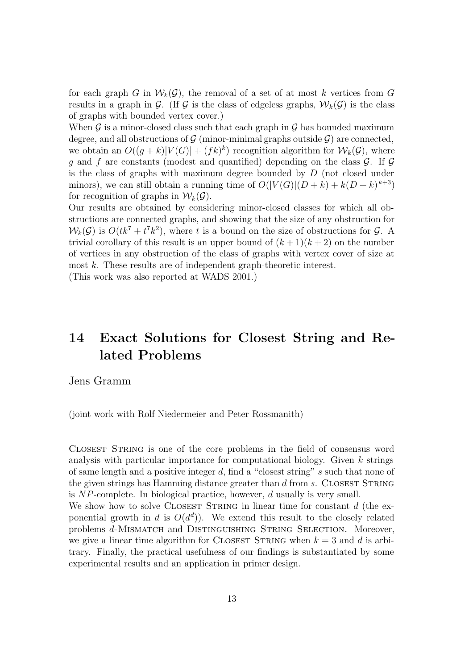for each graph G in  $W_k(G)$ , the removal of a set of at most k vertices from G results in a graph in G. (If G is the class of edgeless graphs,  $W_k(G)$  is the class of graphs with bounded vertex cover.)

When  $\mathcal G$  is a minor-closed class such that each graph in  $\mathcal G$  has bounded maximum degree, and all obstructions of  $\mathcal G$  (minor-minimal graphs outside  $\mathcal G$ ) are connected, we obtain an  $O((g+k)|V(G)|+(fk)^k)$  recognition algorithm for  $\mathcal{W}_k(\mathcal{G})$ , where q and f are constants (modest and quantified) depending on the class  $\mathcal{G}$ . If  $\mathcal{G}$ is the class of graphs with maximum degree bounded by D (not closed under minors), we can still obtain a running time of  $O(|V(G)|(D+k) + k(D+k)^{k+3})$ for recognition of graphs in  $\mathcal{W}_k(\mathcal{G})$ .

Our results are obtained by considering minor-closed classes for which all obstructions are connected graphs, and showing that the size of any obstruction for  $W_k(\mathcal{G})$  is  $O(tk^7 + t^7k^2)$ , where t is a bound on the size of obstructions for  $\mathcal{G}$ . A trivial corollary of this result is an upper bound of  $(k+1)(k+2)$  on the number of vertices in any obstruction of the class of graphs with vertex cover of size at most k. These results are of independent graph-theoretic interest.

(This work was also reported at WADS 2001.)

## 14 Exact Solutions for Closest String and Related Problems

Jens Gramm

(joint work with Rolf Niedermeier and Peter Rossmanith)

Closest String is one of the core problems in the field of consensus word analysis with particular importance for computational biology. Given k strings of same length and a positive integer d, find a "closest string" s such that none of the given strings has Hamming distance greater than  $d$  from  $s$ . CLOSEST STRING is NP-complete. In biological practice, however, d usually is very small.

We show how to solve CLOSEST STRING in linear time for constant  $d$  (the exponential growth in d is  $O(d^d)$ ). We extend this result to the closely related problems d-MISMATCH and DISTINGUISHING STRING SELECTION. Moreover, we give a linear time algorithm for CLOSEST STRING when  $k = 3$  and d is arbitrary. Finally, the practical usefulness of our findings is substantiated by some experimental results and an application in primer design.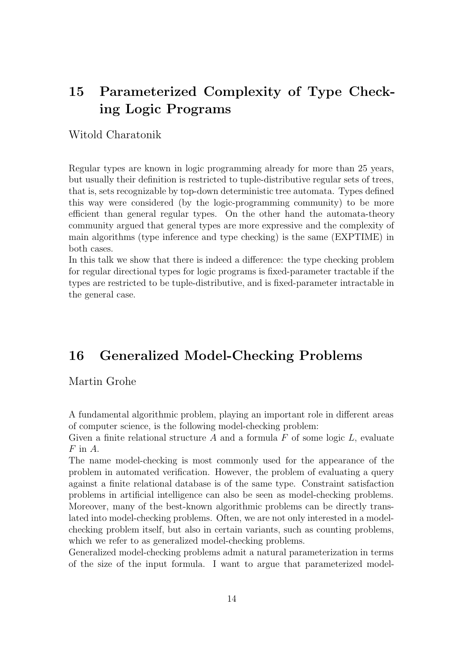## 15 Parameterized Complexity of Type Checking Logic Programs

### Witold Charatonik

Regular types are known in logic programming already for more than 25 years, but usually their definition is restricted to tuple-distributive regular sets of trees, that is, sets recognizable by top-down deterministic tree automata. Types defined this way were considered (by the logic-programming community) to be more efficient than general regular types. On the other hand the automata-theory community argued that general types are more expressive and the complexity of main algorithms (type inference and type checking) is the same (EXPTIME) in both cases.

In this talk we show that there is indeed a difference: the type checking problem for regular directional types for logic programs is fixed-parameter tractable if the types are restricted to be tuple-distributive, and is fixed-parameter intractable in the general case.

### 16 Generalized Model-Checking Problems

### Martin Grohe

A fundamental algorithmic problem, playing an important role in different areas of computer science, is the following model-checking problem:

Given a finite relational structure  $A$  and a formula  $F$  of some logic  $L$ , evaluate  $F$  in  $A$ .

The name model-checking is most commonly used for the appearance of the problem in automated verification. However, the problem of evaluating a query against a finite relational database is of the same type. Constraint satisfaction problems in artificial intelligence can also be seen as model-checking problems. Moreover, many of the best-known algorithmic problems can be directly translated into model-checking problems. Often, we are not only interested in a modelchecking problem itself, but also in certain variants, such as counting problems, which we refer to as generalized model-checking problems.

Generalized model-checking problems admit a natural parameterization in terms of the size of the input formula. I want to argue that parameterized model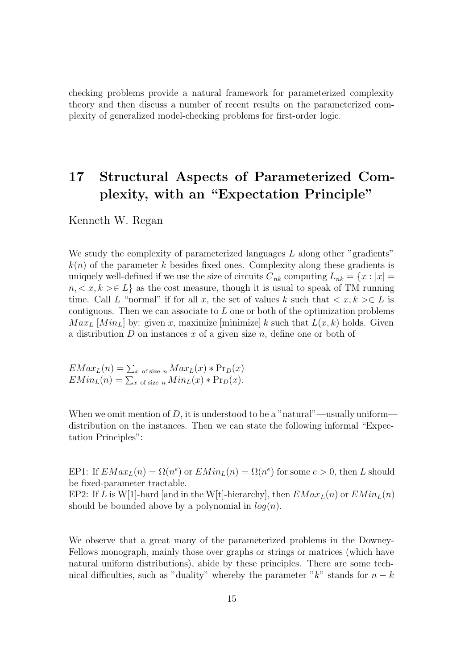checking problems provide a natural framework for parameterized complexity theory and then discuss a number of recent results on the parameterized complexity of generalized model-checking problems for first-order logic.

## 17 Structural Aspects of Parameterized Complexity, with an "Expectation Principle"

Kenneth W. Regan

We study the complexity of parameterized languages  $L$  along other "gradients"  $k(n)$  of the parameter k besides fixed ones. Complexity along these gradients is uniquely well-defined if we use the size of circuits  $C_{nk}$  computing  $L_{nk} = \{x : |x| =$  $n, \langle x, k \rangle \in L$  as the cost measure, though it is usual to speak of TM running time. Call L "normal" if for all x, the set of values k such that  $\langle x, k \rangle \in L$  is contiguous. Then we can associate to  $L$  one or both of the optimization problems  $Max_L$  [Min<sub>L</sub>] by: given x, maximize [minimize] k such that  $L(x, k)$  holds. Given a distribution  $D$  on instances  $x$  of a given size  $n$ , define one or both of

$$
EMax_L(n) = \sum_{x \text{ of size } n} Max_L(x) * Pr_D(x)
$$
  
 $EMin_L(n) = \sum_{x \text{ of size } n} Min_L(x) * Pr_D(x).$ 

When we omit mention of  $D$ , it is understood to be a "natural"—usually uniform distribution on the instances. Then we can state the following informal "Expectation Principles":

EP1: If  $EMax_L(n) = \Omega(n^e)$  or  $EMin_L(n) = \Omega(n^e)$  for some  $e > 0$ , then L should be fixed-parameter tractable.

EP2: If L is W[1]-hard [and in the W[t]-hierarchy], then  $EMax_L(n)$  or  $EMin_L(n)$ should be bounded above by a polynomial in  $log(n)$ .

We observe that a great many of the parameterized problems in the Downey-Fellows monograph, mainly those over graphs or strings or matrices (which have natural uniform distributions), abide by these principles. There are some technical difficulties, such as "duality" whereby the parameter " $k$ " stands for  $n - k$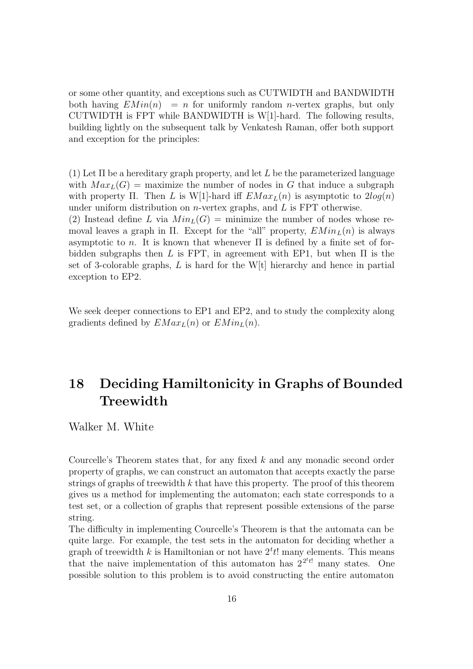or some other quantity, and exceptions such as CUTWIDTH and BANDWIDTH both having  $EMin(n) = n$  for uniformly random *n*-vertex graphs, but only CUTWIDTH is FPT while BANDWIDTH is W[1]-hard. The following results, building lightly on the subsequent talk by Venkatesh Raman, offer both support and exception for the principles:

(1) Let  $\Pi$  be a hereditary graph property, and let L be the parameterized language with  $Max_{L}(G)$  = maximize the number of nodes in G that induce a subgraph with property Π. Then L is W[1]-hard iff  $EMax_L(n)$  is asymptotic to  $2log(n)$ under uniform distribution on *n*-vertex graphs, and  $L$  is FPT otherwise. (2) Instead define L via  $Min<sub>L</sub>(G) =$  minimize the number of nodes whose removal leaves a graph in Π. Except for the "all" property,  $EMin<sub>L</sub>(n)$  is always asymptotic to n. It is known that whenever  $\Pi$  is defined by a finite set of forbidden subgraphs then L is FPT, in agreement with EP1, but when  $\Pi$  is the set of 3-colorable graphs, L is hard for the W[t] hierarchy and hence in partial exception to EP2.

We seek deeper connections to EP1 and EP2, and to study the complexity along gradients defined by  $EMax_L(n)$  or  $EMin_L(n)$ .

## 18 Deciding Hamiltonicity in Graphs of Bounded **Treewidth**

Walker M. White

Courcelle's Theorem states that, for any fixed k and any monadic second order property of graphs, we can construct an automaton that accepts exactly the parse strings of graphs of treewidth  $k$  that have this property. The proof of this theorem gives us a method for implementing the automaton; each state corresponds to a test set, or a collection of graphs that represent possible extensions of the parse string.

The difficulty in implementing Courcelle's Theorem is that the automata can be quite large. For example, the test sets in the automaton for deciding whether a graph of treewidth k is Hamiltonian or not have  $2<sup>t</sup> t!$  many elements. This means that the naive implementation of this automaton has  $2^{2^{t}t!}$  many states. One possible solution to this problem is to avoid constructing the entire automaton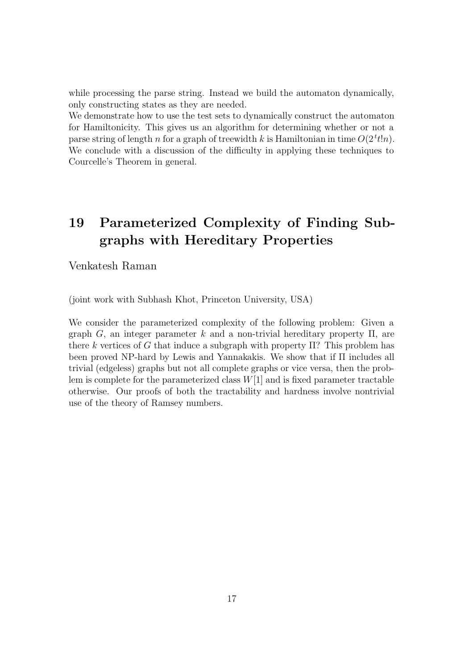while processing the parse string. Instead we build the automaton dynamically, only constructing states as they are needed.

We demonstrate how to use the test sets to dynamically construct the automaton for Hamiltonicity. This gives us an algorithm for determining whether or not a parse string of length n for a graph of treewidth k is Hamiltonian in time  $O(2^t t! n)$ . We conclude with a discussion of the difficulty in applying these techniques to Courcelle's Theorem in general.

## 19 Parameterized Complexity of Finding Subgraphs with Hereditary Properties

Venkatesh Raman

(joint work with Subhash Khot, Princeton University, USA)

We consider the parameterized complexity of the following problem: Given a graph G, an integer parameter k and a non-trivial hereditary property  $\Pi$ , are there k vertices of G that induce a subgraph with property  $\Pi$ ? This problem has been proved NP-hard by Lewis and Yannakakis. We show that if Π includes all trivial (edgeless) graphs but not all complete graphs or vice versa, then the problem is complete for the parameterized class  $W[1]$  and is fixed parameter tractable otherwise. Our proofs of both the tractability and hardness involve nontrivial use of the theory of Ramsey numbers.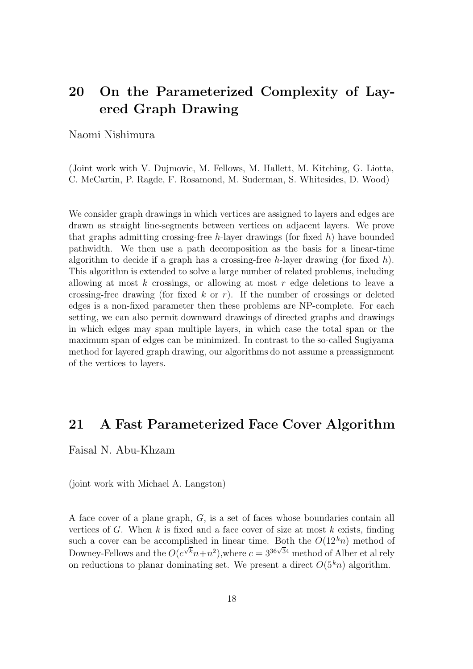## 20 On the Parameterized Complexity of Layered Graph Drawing

#### Naomi Nishimura

(Joint work with V. Dujmovic, M. Fellows, M. Hallett, M. Kitching, G. Liotta, C. McCartin, P. Ragde, F. Rosamond, M. Suderman, S. Whitesides, D. Wood)

We consider graph drawings in which vertices are assigned to layers and edges are drawn as straight line-segments between vertices on adjacent layers. We prove that graphs admitting crossing-free h-layer drawings (for fixed h) have bounded pathwidth. We then use a path decomposition as the basis for a linear-time algorithm to decide if a graph has a crossing-free h-layer drawing (for fixed h). This algorithm is extended to solve a large number of related problems, including allowing at most  $k$  crossings, or allowing at most  $r$  edge deletions to leave a crossing-free drawing (for fixed k or r). If the number of crossings or deleted edges is a non-fixed parameter then these problems are NP-complete. For each setting, we can also permit downward drawings of directed graphs and drawings in which edges may span multiple layers, in which case the total span or the maximum span of edges can be minimized. In contrast to the so-called Sugiyama method for layered graph drawing, our algorithms do not assume a preassignment of the vertices to layers.

### 21 A Fast Parameterized Face Cover Algorithm

Faisal N. Abu-Khzam

(joint work with Michael A. Langston)

A face cover of a plane graph, G, is a set of faces whose boundaries contain all vertices of G. When  $k$  is fixed and a face cover of size at most  $k$  exists, finding such a cover can be accomplished in linear time. Both the  $O(12<sup>k</sup>n)$  method of Downey-Fellows and the  $O(c^{\sqrt{k}}n+n^2)$ , where  $c=3^{36\sqrt{3}4}$  method of Alber et al rely on reductions to planar dominating set. We present a direct  $O(5<sup>k</sup>n)$  algorithm.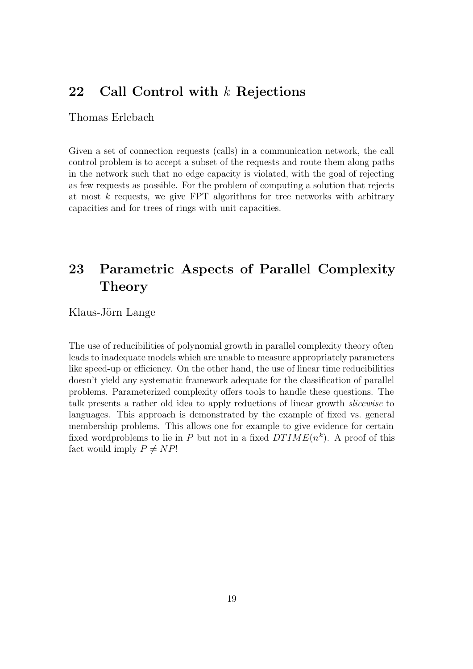### 22 Call Control with k Rejections

### Thomas Erlebach

Given a set of connection requests (calls) in a communication network, the call control problem is to accept a subset of the requests and route them along paths in the network such that no edge capacity is violated, with the goal of rejecting as few requests as possible. For the problem of computing a solution that rejects at most  $k$  requests, we give FPT algorithms for tree networks with arbitrary capacities and for trees of rings with unit capacities.

## 23 Parametric Aspects of Parallel Complexity **Theory**

Klaus-Jörn Lange

The use of reducibilities of polynomial growth in parallel complexity theory often leads to inadequate models which are unable to measure appropriately parameters like speed-up or efficiency. On the other hand, the use of linear time reducibilities doesn't yield any systematic framework adequate for the classification of parallel problems. Parameterized complexity offers tools to handle these questions. The talk presents a rather old idea to apply reductions of linear growth slicewise to languages. This approach is demonstrated by the example of fixed vs. general membership problems. This allows one for example to give evidence for certain fixed wordproblems to lie in P but not in a fixed  $DTIME(n^k)$ . A proof of this fact would imply  $P \neq NP!$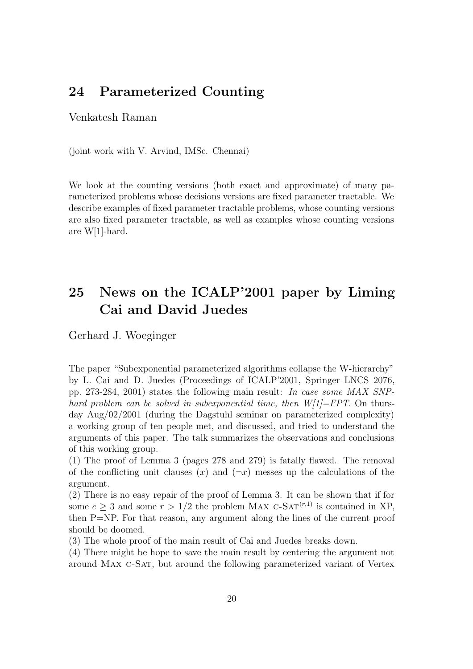### 24 Parameterized Counting

### Venkatesh Raman

(joint work with V. Arvind, IMSc. Chennai)

We look at the counting versions (both exact and approximate) of many parameterized problems whose decisions versions are fixed parameter tractable. We describe examples of fixed parameter tractable problems, whose counting versions are also fixed parameter tractable, as well as examples whose counting versions are W[1]-hard.

## 25 News on the ICALP'2001 paper by Liming Cai and David Juedes

Gerhard J. Woeginger

The paper "Subexponential parameterized algorithms collapse the W-hierarchy" by L. Cai and D. Juedes (Proceedings of ICALP'2001, Springer LNCS 2076, pp. 273-284, 2001) states the following main result: In case some MAX SNPhard problem can be solved in subexponential time, then  $W[1]=FPT$ . On thursday Aug/02/2001 (during the Dagstuhl seminar on parameterized complexity) a working group of ten people met, and discussed, and tried to understand the arguments of this paper. The talk summarizes the observations and conclusions of this working group.

(1) The proof of Lemma 3 (pages 278 and 279) is fatally flawed. The removal of the conflicting unit clauses  $(x)$  and  $(\neg x)$  messes up the calculations of the argument.

(2) There is no easy repair of the proof of Lemma 3. It can be shown that if for some  $c \geq 3$  and some  $r > 1/2$  the problem MAX C-SAT<sup>(r,1)</sup> is contained in XP, then P=NP. For that reason, any argument along the lines of the current proof should be doomed.

(3) The whole proof of the main result of Cai and Juedes breaks down.

(4) There might be hope to save the main result by centering the argument not around Max c-Sat, but around the following parameterized variant of Vertex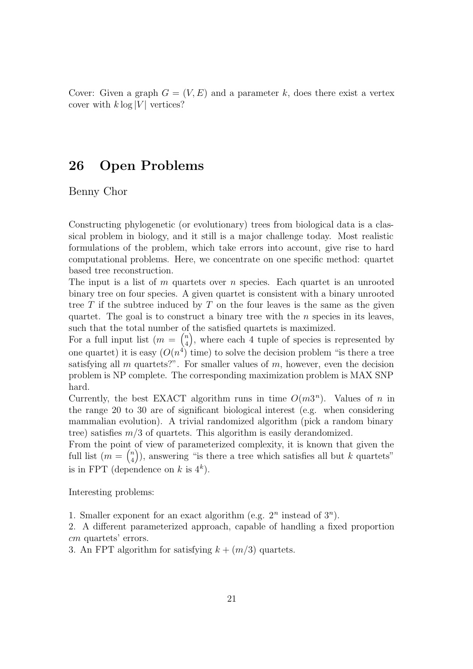Cover: Given a graph  $G = (V, E)$  and a parameter k, does there exist a vertex cover with  $k \log |V|$  vertices?

### 26 Open Problems

Benny Chor

Constructing phylogenetic (or evolutionary) trees from biological data is a classical problem in biology, and it still is a major challenge today. Most realistic formulations of the problem, which take errors into account, give rise to hard computational problems. Here, we concentrate on one specific method: quartet based tree reconstruction.

The input is a list of  $m$  quartets over  $n$  species. Each quartet is an unrooted binary tree on four species. A given quartet is consistent with a binary unrooted tree  $T$  if the subtree induced by  $T$  on the four leaves is the same as the given quartet. The goal is to construct a binary tree with the  $n$  species in its leaves, such that the total number of the satisfied quartets is maximized.

For a full input list  $(m = \binom{n}{4}$  $\binom{n}{4}$ , where each 4 tuple of species is represented by one quartet) it is easy  $(O(n^4)$  time) to solve the decision problem "is there a tree satisfying all m quartets?". For smaller values of  $m$ , however, even the decision problem is NP complete. The corresponding maximization problem is MAX SNP hard.

Currently, the best EXACT algorithm runs in time  $O(m3^n)$ . Values of n in the range 20 to 30 are of significant biological interest (e.g. when considering mammalian evolution). A trivial randomized algorithm (pick a random binary tree) satisfies  $m/3$  of quartets. This algorithm is easily derandomized.

From the point of view of parameterized complexity, it is known that given the full list  $(m = \binom{n}{4}$  $\binom{n}{4}$ , answering "is there a tree which satisfies all but k quartets" is in FPT (dependence on k is  $4^k$ ).

Interesting problems:

1. Smaller exponent for an exact algorithm (e.g.  $2^n$  instead of  $3^n$ ).

2. A different parameterized approach, capable of handling a fixed proportion cm quartets' errors.

3. An FPT algorithm for satisfying  $k + (m/3)$  quartets.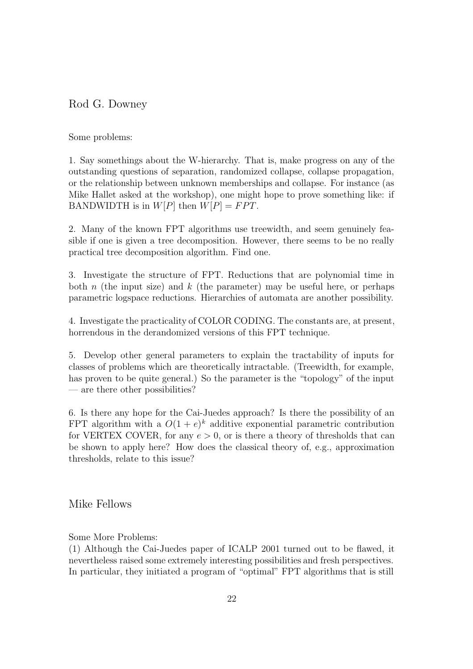### Rod G. Downey

Some problems:

1. Say somethings about the W-hierarchy. That is, make progress on any of the outstanding questions of separation, randomized collapse, collapse propagation, or the relationship between unknown memberships and collapse. For instance (as Mike Hallet asked at the workshop), one might hope to prove something like: if BANDWIDTH is in  $W[P]$  then  $W[P] = FPT$ .

2. Many of the known FPT algorithms use treewidth, and seem genuinely feasible if one is given a tree decomposition. However, there seems to be no really practical tree decomposition algorithm. Find one.

3. Investigate the structure of FPT. Reductions that are polynomial time in both n (the input size) and k (the parameter) may be useful here, or perhaps parametric logspace reductions. Hierarchies of automata are another possibility.

4. Investigate the practicality of COLOR CODING. The constants are, at present, horrendous in the derandomized versions of this FPT technique.

5. Develop other general parameters to explain the tractability of inputs for classes of problems which are theoretically intractable. (Treewidth, for example, has proven to be quite general.) So the parameter is the "topology" of the input — are there other possibilities?

6. Is there any hope for the Cai-Juedes approach? Is there the possibility of an FPT algorithm with a  $O(1+e)^k$  additive exponential parametric contribution for VERTEX COVER, for any  $e > 0$ , or is there a theory of thresholds that can be shown to apply here? How does the classical theory of, e.g., approximation thresholds, relate to this issue?

Mike Fellows

Some More Problems:

(1) Although the Cai-Juedes paper of ICALP 2001 turned out to be flawed, it nevertheless raised some extremely interesting possibilities and fresh perspectives. In particular, they initiated a program of "optimal" FPT algorithms that is still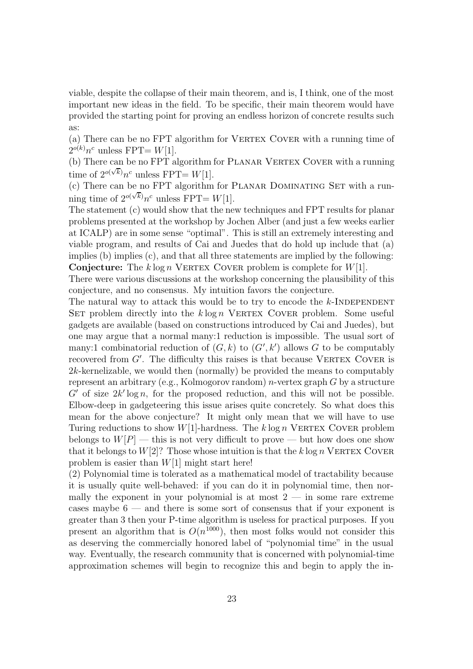viable, despite the collapse of their main theorem, and is, I think, one of the most important new ideas in the field. To be specific, their main theorem would have provided the starting point for proving an endless horizon of concrete results such as:

(a) There can be no FPT algorithm for VERTEX COVER with a running time of  $2^{o(k)}n^c$  unless FPT=  $W[1]$ .

(b) There can be no FPT algorithm for PLANAR VERTEX COVER with a running time of  $2^{o(\sqrt{k})}n^c$  unless FPT=  $W[1]$ .

(c) There can be no FPT algorithm for PLANAR DOMINATING SET with a running time of  $2^{o(\sqrt{k})}n^c$  unless FPT=  $W[1]$ .

The statement (c) would show that the new techniques and FPT results for planar problems presented at the workshop by Jochen Alber (and just a few weeks earlier at ICALP) are in some sense "optimal". This is still an extremely interesting and viable program, and results of Cai and Juedes that do hold up include that (a) implies (b) implies (c), and that all three statements are implied by the following: **Conjecture:** The k  $\log n$  VERTEX COVER problem is complete for  $W[1]$ .

There were various discussions at the workshop concerning the plausibility of this conjecture, and no consensus. My intuition favors the conjecture.

The natural way to attack this would be to try to encode the  $k$ -INDEPENDENT SET problem directly into the  $k \log n$  VERTEX COVER problem. Some useful gadgets are available (based on constructions introduced by Cai and Juedes), but one may argue that a normal many:1 reduction is impossible. The usual sort of many:1 combinatorial reduction of  $(G, k)$  to  $(G', k')$  allows G to be computably recovered from  $G'$ . The difficulty this raises is that because VERTEX COVER is 2k-kernelizable, we would then (normally) be provided the means to computably represent an arbitrary (e.g., Kolmogorov random)  $n$ -vertex graph  $G$  by a structure  $G'$  of size  $2k' \log n$ , for the proposed reduction, and this will not be possible. Elbow-deep in gadgeteering this issue arises quite concretely. So what does this mean for the above conjecture? It might only mean that we will have to use Turing reductions to show  $W[1]$ -hardness. The k log n VERTEX COVER problem belongs to  $W[P]$  — this is not very difficult to prove — but how does one show that it belongs to  $W[2]$ ? Those whose intuition is that the k log n VERTEX COVER problem is easier than  $W[1]$  might start here!

(2) Polynomial time is tolerated as a mathematical model of tractability because it is usually quite well-behaved: if you can do it in polynomial time, then normally the exponent in your polynomial is at most  $2 -$  in some rare extreme cases maybe 6 — and there is some sort of consensus that if your exponent is greater than 3 then your P-time algorithm is useless for practical purposes. If you present an algorithm that is  $O(n^{1000})$ , then most folks would not consider this as deserving the commercially honored label of "polynomial time" in the usual way. Eventually, the research community that is concerned with polynomial-time approximation schemes will begin to recognize this and begin to apply the in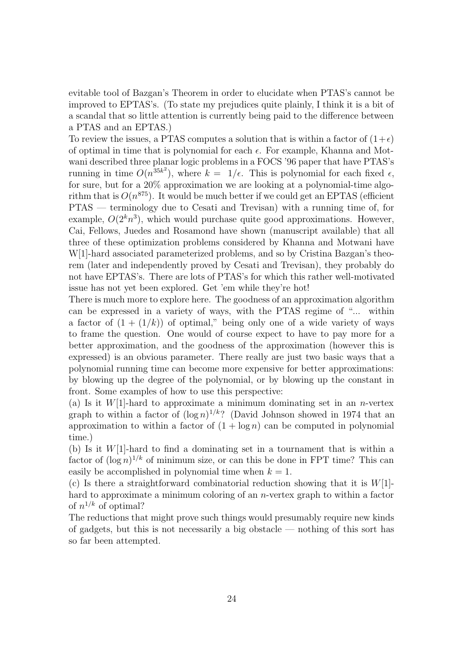evitable tool of Bazgan's Theorem in order to elucidate when PTAS's cannot be improved to EPTAS's. (To state my prejudices quite plainly, I think it is a bit of a scandal that so little attention is currently being paid to the difference between a PTAS and an EPTAS.)

To review the issues, a PTAS computes a solution that is within a factor of  $(1+\epsilon)$ of optimal in time that is polynomial for each  $\epsilon$ . For example, Khanna and Motwani described three planar logic problems in a FOCS '96 paper that have PTAS's running in time  $O(n^{35k^2})$ , where  $k = 1/\epsilon$ . This is polynomial for each fixed  $\epsilon$ , for sure, but for a 20% approximation we are looking at a polynomial-time algorithm that is  $O(n^{875})$ . It would be much better if we could get an EPTAS (efficient PTAS — terminology due to Cesati and Trevisan) with a running time of, for example,  $O(2^k n^3)$ , which would purchase quite good approximations. However, Cai, Fellows, Juedes and Rosamond have shown (manuscript available) that all three of these optimization problems considered by Khanna and Motwani have W[1]-hard associated parameterized problems, and so by Cristina Bazgan's theorem (later and independently proved by Cesati and Trevisan), they probably do not have EPTAS's. There are lots of PTAS's for which this rather well-motivated issue has not yet been explored. Get 'em while they're hot!

There is much more to explore here. The goodness of an approximation algorithm can be expressed in a variety of ways, with the PTAS regime of "... within a factor of  $(1 + (1/k))$  of optimal," being only one of a wide variety of ways to frame the question. One would of course expect to have to pay more for a better approximation, and the goodness of the approximation (however this is expressed) is an obvious parameter. There really are just two basic ways that a polynomial running time can become more expensive for better approximations: by blowing up the degree of the polynomial, or by blowing up the constant in front. Some examples of how to use this perspective:

(a) Is it  $W[1]$ -hard to approximate a minimum dominating set in an *n*-vertex graph to within a factor of  $(\log n)^{1/k}$ ? (David Johnson showed in 1974 that an approximation to within a factor of  $(1 + \log n)$  can be computed in polynomial time.)

(b) Is it  $W[1]$ -hard to find a dominating set in a tournament that is within a factor of  $(\log n)^{1/k}$  of minimum size, or can this be done in FPT time? This can easily be accomplished in polynomial time when  $k = 1$ .

(c) Is there a straightforward combinatorial reduction showing that it is  $W[1]$ hard to approximate a minimum coloring of an n-vertex graph to within a factor of  $n^{1/k}$  of optimal?

The reductions that might prove such things would presumably require new kinds of gadgets, but this is not necessarily a big obstacle — nothing of this sort has so far been attempted.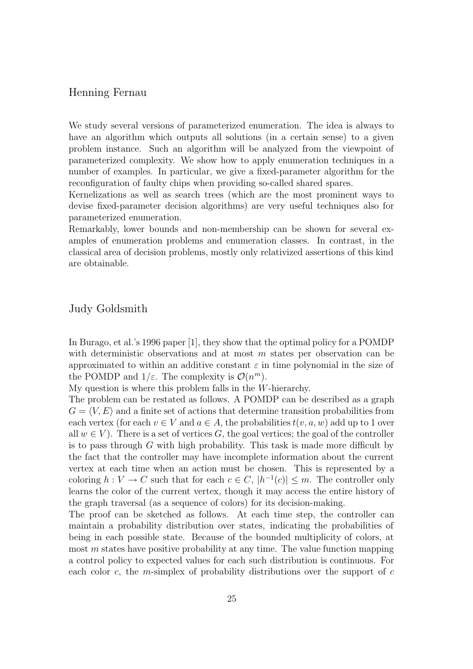#### Henning Fernau

We study several versions of parameterized enumeration. The idea is always to have an algorithm which outputs all solutions (in a certain sense) to a given problem instance. Such an algorithm will be analyzed from the viewpoint of parameterized complexity. We show how to apply enumeration techniques in a number of examples. In particular, we give a fixed-parameter algorithm for the reconfiguration of faulty chips when providing so-called shared spares.

Kernelizations as well as search trees (which are the most prominent ways to devise fixed-parameter decision algorithms) are very useful techniques also for parameterized enumeration.

Remarkably, lower bounds and non-membership can be shown for several examples of enumeration problems and enumeration classes. In contrast, in the classical area of decision problems, mostly only relativized assertions of this kind are obtainable.

#### Judy Goldsmith

In Burago, et al.'s 1996 paper [1], they show that the optimal policy for a POMDP with deterministic observations and at most  $m$  states per observation can be approximated to within an additive constant  $\varepsilon$  in time polynomial in the size of the POMDP and  $1/\varepsilon$ . The complexity is  $\mathcal{O}(n^m)$ .

My question is where this problem falls in the W-hierarchy.

The problem can be restated as follows. A POMDP can be described as a graph  $G = \langle V, E \rangle$  and a finite set of actions that determine transition probabilities from each vertex (for each  $v \in V$  and  $a \in A$ , the probabilities  $t(v, a, w)$  add up to 1 over all  $w \in V$ ). There is a set of vertices G, the goal vertices; the goal of the controller is to pass through G with high probability. This task is made more difficult by the fact that the controller may have incomplete information about the current vertex at each time when an action must be chosen. This is represented by a coloring  $h: V \to C$  such that for each  $c \in C$ ,  $|h^{-1}(c)| \leq m$ . The controller only learns the color of the current vertex, though it may access the entire history of the graph traversal (as a sequence of colors) for its decision-making.

The proof can be sketched as follows. At each time step, the controller can maintain a probability distribution over states, indicating the probabilities of being in each possible state. Because of the bounded multiplicity of colors, at most  $m$  states have positive probability at any time. The value function mapping a control policy to expected values for each such distribution is continuous. For each color c, the m-simplex of probability distributions over the support of c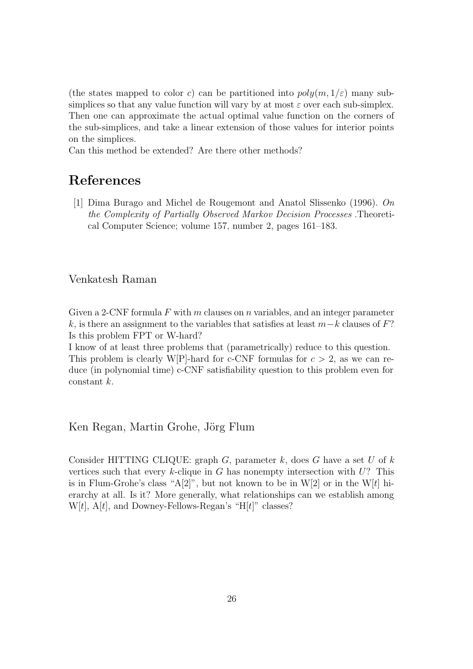(the states mapped to color c) can be partitioned into  $poly(m, 1/\varepsilon)$  many subsimplices so that any value function will vary by at most  $\varepsilon$  over each sub-simplex. Then one can approximate the actual optimal value function on the corners of the sub-simplices, and take a linear extension of those values for interior points on the simplices.

Can this method be extended? Are there other methods?

## References

[1] Dima Burago and Michel de Rougemont and Anatol Slissenko (1996). On the Complexity of Partially Observed Markov Decision Processes .Theoretical Computer Science; volume 157, number 2, pages 161–183.

#### Venkatesh Raman

Given a 2-CNF formula F with m clauses on n variables, and an integer parameter k, is there an assignment to the variables that satisfies at least  $m-k$  clauses of F? Is this problem FPT or W-hard?

I know of at least three problems that (parametrically) reduce to this question. This problem is clearly W[P]-hard for c-CNF formulas for  $c > 2$ , as we can reduce (in polynomial time) c-CNF satisfiability question to this problem even for constant k.

Ken Regan, Martin Grohe, Jörg Flum

Consider HITTING CLIQUE: graph  $G$ , parameter  $k$ , does  $G$  have a set  $U$  of  $k$ vertices such that every k-clique in G has nonempty intersection with  $U$ ? This is in Flum-Grohe's class "A[2]", but not known to be in W[2] or in the W[t] hierarchy at all. Is it? More generally, what relationships can we establish among  $W[t]$ , A[t], and Downey-Fellows-Regan's "H[t]" classes?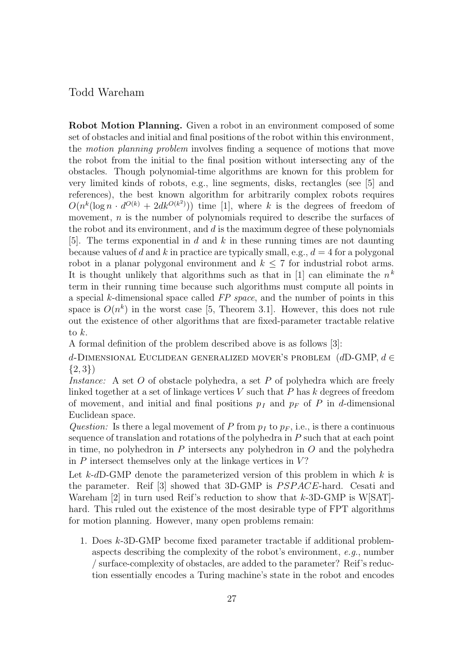#### Todd Wareham

Robot Motion Planning. Given a robot in an environment composed of some set of obstacles and initial and final positions of the robot within this environment, the motion planning problem involves finding a sequence of motions that move the robot from the initial to the final position without intersecting any of the obstacles. Though polynomial-time algorithms are known for this problem for very limited kinds of robots, e.g., line segments, disks, rectangles (see [5] and references), the best known algorithm for arbitrarily complex robots requires  $O(n^k(\log n \cdot d^{O(k)} + 2dk^{O(k^2)}))$  time [1], where k is the degrees of freedom of movement, *n* is the number of polynomials required to describe the surfaces of the robot and its environment, and  $d$  is the maximum degree of these polynomials [5]. The terms exponential in  $d$  and  $k$  in these running times are not daunting because values of d and k in practice are typically small, e.g.,  $d = 4$  for a polygonal robot in a planar polygonal environment and  $k \leq 7$  for industrial robot arms. It is thought unlikely that algorithms such as that in [1] can eliminate the  $n^k$ term in their running time because such algorithms must compute all points in a special k-dimensional space called FP space, and the number of points in this space is  $O(n^k)$  in the worst case [5, Theorem 3.1]. However, this does not rule out the existence of other algorithms that are fixed-parameter tractable relative to k.

A formal definition of the problem described above is as follows [3]:

d-DIMENSIONAL EUCLIDEAN GENERALIZED MOVER'S PROBLEM  $(dD\text{-GMP}, d\in$  $\{2,3\}$ 

Instance: A set O of obstacle polyhedra, a set P of polyhedra which are freely linked together at a set of linkage vertices  $V$  such that  $P$  has  $k$  degrees of freedom of movement, and initial and final positions  $p_I$  and  $p_F$  of P in d-dimensional Euclidean space.

Question: Is there a legal movement of P from  $p_I$  to  $p_F$ , i.e., is there a continuous sequence of translation and rotations of the polyhedra in P such that at each point in time, no polyhedron in P intersects any polyhedron in  $O$  and the polyhedra in  $P$  intersect themselves only at the linkage vertices in  $V$ ?

Let k-dD-GMP denote the parameterized version of this problem in which  $k$  is the parameter. Reif [3] showed that 3D-GMP is PSPACE-hard. Cesati and Wareham [2] in turn used Reif's reduction to show that  $k$ -3D-GMP is W[SAT]hard. This ruled out the existence of the most desirable type of FPT algorithms for motion planning. However, many open problems remain:

1. Does k-3D-GMP become fixed parameter tractable if additional problemaspects describing the complexity of the robot's environment, e.g., number / surface-complexity of obstacles, are added to the parameter? Reif's reduction essentially encodes a Turing machine's state in the robot and encodes